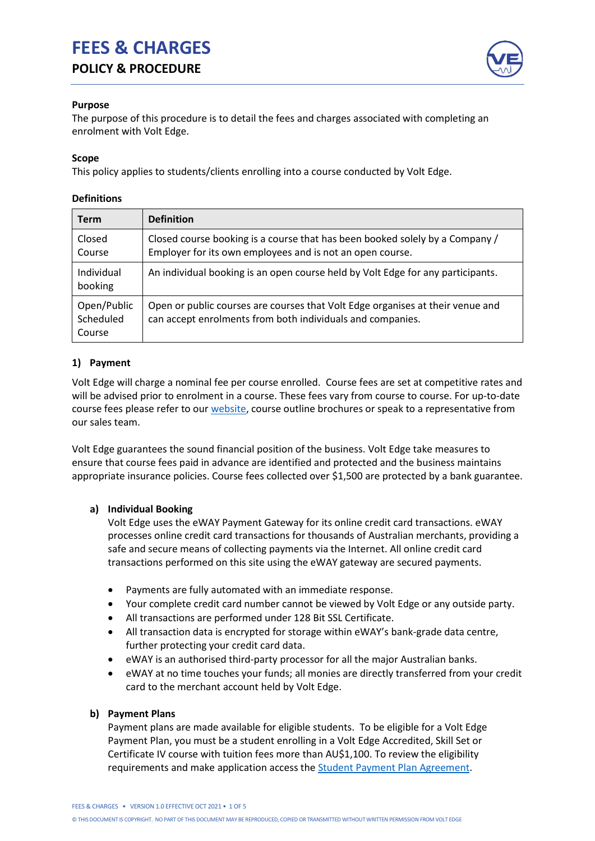# **FEES & CHARGES POLICY & PROCEDURE**



### **Purpose**

The purpose of this procedure is to detail the fees and charges associated with completing an enrolment with Volt Edge.

## **Scope**

This policy applies to students/clients enrolling into a course conducted by Volt Edge.

## **Definitions**

| <b>Term</b>                        | <b>Definition</b>                                                                                                                            |
|------------------------------------|----------------------------------------------------------------------------------------------------------------------------------------------|
| Closed<br>Course                   | Closed course booking is a course that has been booked solely by a Company /<br>Employer for its own employees and is not an open course.    |
| Individual<br>booking              | An individual booking is an open course held by Volt Edge for any participants.                                                              |
| Open/Public<br>Scheduled<br>Course | Open or public courses are courses that Volt Edge organises at their venue and<br>can accept enrolments from both individuals and companies. |

# **1) Payment**

Volt Edge will charge a nominal fee per course enrolled. Course fees are set at competitive rates and will be advised prior to enrolment in a course. These fees vary from course to course. For up-to-date course fees please refer to our [website,](https://www.voltedge.com.au/courses/) course outline brochures or speak to a representative from our sales team.

Volt Edge guarantees the sound financial position of the business. Volt Edge take measures to ensure that course fees paid in advance are identified and protected and the business maintains appropriate insurance policies. Course fees collected over \$1,500 are protected by a bank guarantee.

# **a) Individual Booking**

Volt Edge uses the eWAY Payment Gateway for its online credit card transactions. eWAY processes online credit card transactions for thousands of Australian merchants, providing a safe and secure means of collecting payments via the Internet. All online credit card transactions performed on this site using the eWAY gateway are secured payments.

- Payments are fully automated with an immediate response.
- Your complete credit card number cannot be viewed by Volt Edge or any outside party.
- All transactions are performed under 128 Bit SSL Certificate.
- All transaction data is encrypted for storage within eWAY's bank-grade data centre, further protecting your credit card data.
- eWAY is an authorised third-party processor for all the major Australian banks.
- eWAY at no time touches your funds; all monies are directly transferred from your credit card to the merchant account held by Volt Edge.

#### **b) Payment Plans**

Payment plans are made available for eligible students. To be eligible for a Volt Edge Payment Plan, you must be a student enrolling in a Volt Edge Accredited, Skill Set or Certificate IV course with tuition fees more than AU\$1,100. To review the eligibility requirements and make application access the **Student Payment Plan Agreement**.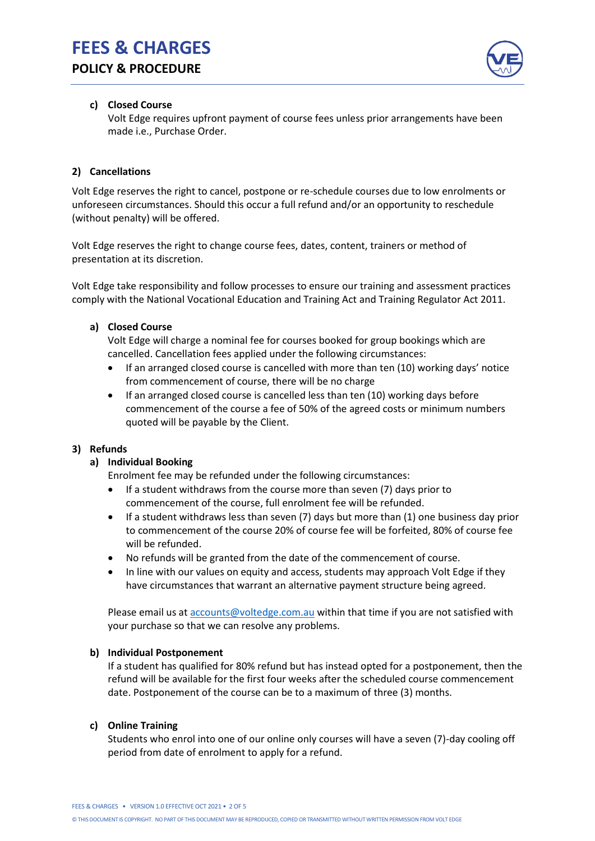

## **c) Closed Course**

Volt Edge requires upfront payment of course fees unless prior arrangements have been made i.e., Purchase Order.

# **2) Cancellations**

Volt Edge reserves the right to cancel, postpone or re-schedule courses due to low enrolments or unforeseen circumstances. Should this occur a full refund and/or an opportunity to reschedule (without penalty) will be offered.

Volt Edge reserves the right to change course fees, dates, content, trainers or method of presentation at its discretion.

Volt Edge take responsibility and follow processes to ensure our training and assessment practices comply with the National Vocational Education and Training Act and Training Regulator Act 2011.

#### **a) Closed Course**

Volt Edge will charge a nominal fee for courses booked for group bookings which are cancelled. Cancellation fees applied under the following circumstances:

- If an arranged closed course is cancelled with more than ten (10) working days' notice from commencement of course, there will be no charge
- If an arranged closed course is cancelled less than ten (10) working days before commencement of the course a fee of 50% of the agreed costs or minimum numbers quoted will be payable by the Client.

#### **3) Refunds**

#### **a) Individual Booking**

Enrolment fee may be refunded under the following circumstances:

- If a student withdraws from the course more than seven (7) days prior to commencement of the course, full enrolment fee will be refunded.
- If a student withdraws less than seven (7) days but more than (1) one business day prior to commencement of the course 20% of course fee will be forfeited, 80% of course fee will be refunded.
- No refunds will be granted from the date of the commencement of course.
- In line with our values on equity and access, students may approach Volt Edge if they have circumstances that warrant an alternative payment structure being agreed.

Please email us at [accounts@voltedge.com.au](mailto:accounts@voltedge.com.au) within that time if you are not satisfied with your purchase so that we can resolve any problems.

#### **b) Individual Postponement**

If a student has qualified for 80% refund but has instead opted for a postponement, then the refund will be available for the first four weeks after the scheduled course commencement date. Postponement of the course can be to a maximum of three (3) months.

#### **c) Online Training**

Students who enrol into one of our online only courses will have a seven (7)-day cooling off period from date of enrolment to apply for a refund.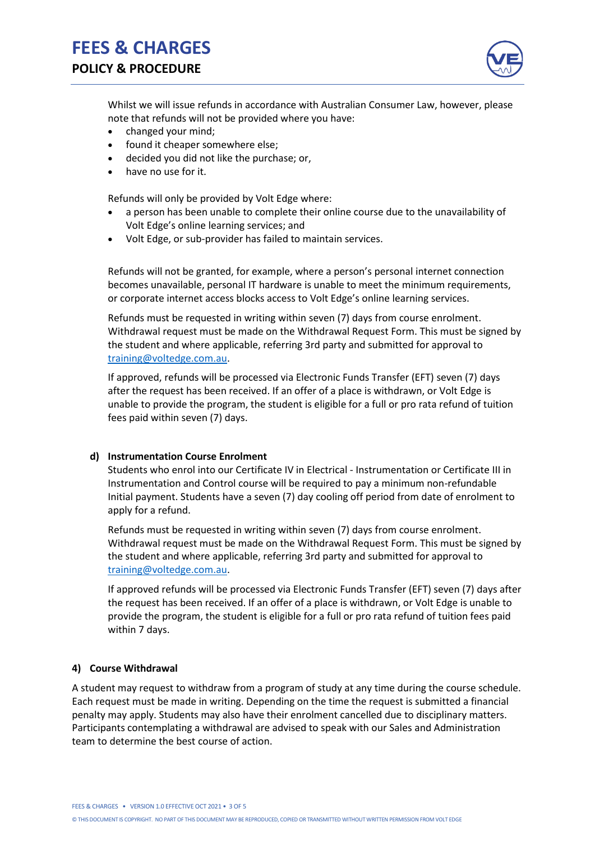

Whilst we will issue refunds in accordance with Australian Consumer Law, however, please note that refunds will not be provided where you have:

- changed your mind;
- found it cheaper somewhere else;
- decided you did not like the purchase; or,
- have no use for it.

Refunds will only be provided by Volt Edge where:

- a person has been unable to complete their online course due to the unavailability of Volt Edge's online learning services; and
- Volt Edge, or sub-provider has failed to maintain services.

Refunds will not be granted, for example, where a person's personal internet connection becomes unavailable, personal IT hardware is unable to meet the minimum requirements, or corporate internet access blocks access to Volt Edge's online learning services.

Refunds must be requested in writing within seven (7) days from course enrolment. Withdrawal request must be made on the Withdrawal Request Form. This must be signed by the student and where applicable, referring 3rd party and submitted for approval to [training@voltedge.com.au.](mailto:training@voltedge.com.au)

If approved, refunds will be processed via Electronic Funds Transfer (EFT) seven (7) days after the request has been received. If an offer of a place is withdrawn, or Volt Edge is unable to provide the program, the student is eligible for a full or pro rata refund of tuition fees paid within seven (7) days.

#### **d) Instrumentation Course Enrolment**

Students who enrol into our Certificate IV in Electrical - Instrumentation or Certificate III in Instrumentation and Control course will be required to pay a minimum non-refundable Initial payment. Students have a seven (7) day cooling off period from date of enrolment to apply for a refund.

Refunds must be requested in writing within seven (7) days from course enrolment. Withdrawal request must be made on the Withdrawal Request Form. This must be signed by the student and where applicable, referring 3rd party and submitted for approval to [training@voltedge.com.au.](mailto:training@voltedge.com.au)

If approved refunds will be processed via Electronic Funds Transfer (EFT) seven (7) days after the request has been received. If an offer of a place is withdrawn, or Volt Edge is unable to provide the program, the student is eligible for a full or pro rata refund of tuition fees paid within 7 days.

#### **4) Course Withdrawal**

A student may request to withdraw from a program of study at any time during the course schedule. Each request must be made in writing. Depending on the time the request is submitted a financial penalty may apply. Students may also have their enrolment cancelled due to disciplinary matters. Participants contemplating a withdrawal are advised to speak with our Sales and Administration team to determine the best course of action.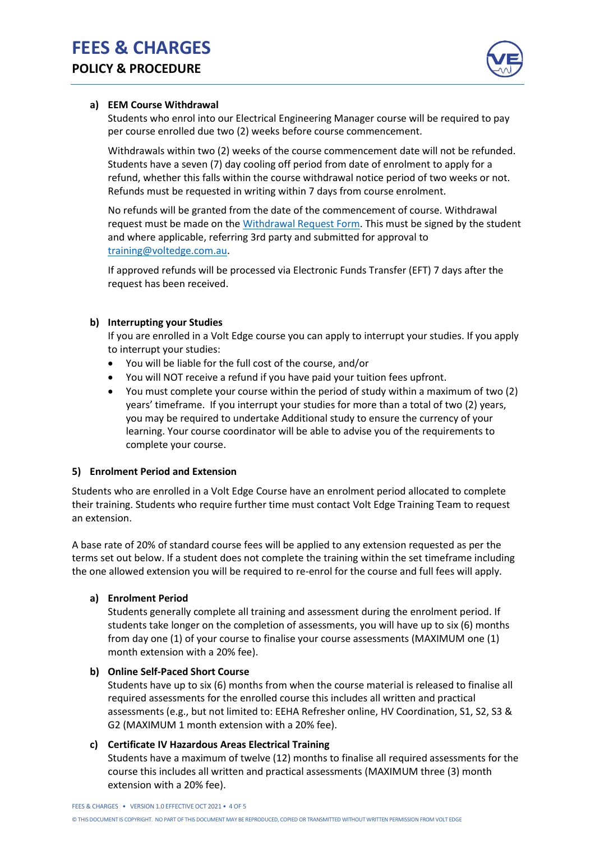

## **a) EEM Course Withdrawal**

Students who enrol into our Electrical Engineering Manager course will be required to pay per course enrolled due two (2) weeks before course commencement.

Withdrawals within two (2) weeks of the course commencement date will not be refunded. Students have a seven (7) day cooling off period from date of enrolment to apply for a refund, whether this falls within the course withdrawal notice period of two weeks or not. Refunds must be requested in writing within 7 days from course enrolment.

No refunds will be granted from the date of the commencement of course. Withdrawal request must be made on the [Withdrawal Request Form.](https://www.voltedge.com.au/rto-details/) This must be signed by the student and where applicable, referring 3rd party and submitted for approval to [training@voltedge.com.au.](mailto:training@voltedge.com.au)

If approved refunds will be processed via Electronic Funds Transfer (EFT) 7 days after the request has been received.

## **b) Interrupting your Studies**

If you are enrolled in a Volt Edge course you can apply to interrupt your studies. If you apply to interrupt your studies:

- You will be liable for the full cost of the course, and/or
- You will NOT receive a refund if you have paid your tuition fees upfront.
- You must complete your course within the period of study within a maximum of two (2) years' timeframe. If you interrupt your studies for more than a total of two (2) years, you may be required to undertake Additional study to ensure the currency of your learning. Your course coordinator will be able to advise you of the requirements to complete your course.

#### **5) Enrolment Period and Extension**

Students who are enrolled in a Volt Edge Course have an enrolment period allocated to complete their training. Students who require further time must contact Volt Edge Training Team to request an extension.

A base rate of 20% of standard course fees will be applied to any extension requested as per the terms set out below. If a student does not complete the training within the set timeframe including the one allowed extension you will be required to re-enrol for the course and full fees will apply.

#### **a) Enrolment Period**

Students generally complete all training and assessment during the enrolment period. If students take longer on the completion of assessments, you will have up to six (6) months from day one (1) of your course to finalise your course assessments (MAXIMUM one (1) month extension with a 20% fee).

#### **b) Online Self-Paced Short Course**

Students have up to six (6) months from when the course material is released to finalise all required assessments for the enrolled course this includes all written and practical assessments (e.g., but not limited to: EEHA Refresher online, HV Coordination, S1, S2, S3 & G2 (MAXIMUM 1 month extension with a 20% fee).

# **c) Certificate IV Hazardous Areas Electrical Training**

Students have a maximum of twelve (12) months to finalise all required assessments for the course this includes all written and practical assessments (MAXIMUM three (3) month extension with a 20% fee).